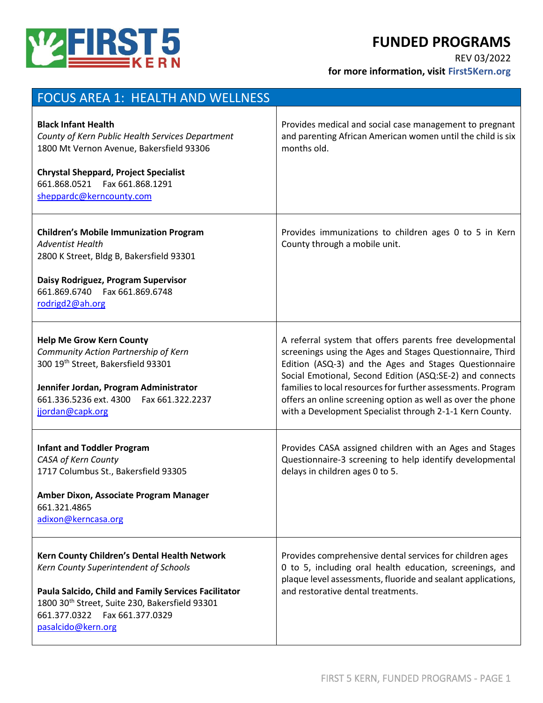



**for more information, visit First5Kern.org**

| <b>FOCUS AREA 1: HEALTH AND WELLNESS</b>                                                                                                                                                                                                                  |                                                                                                                                                                                                                                                                                                                                                                                                                                       |
|-----------------------------------------------------------------------------------------------------------------------------------------------------------------------------------------------------------------------------------------------------------|---------------------------------------------------------------------------------------------------------------------------------------------------------------------------------------------------------------------------------------------------------------------------------------------------------------------------------------------------------------------------------------------------------------------------------------|
| <b>Black Infant Health</b><br>County of Kern Public Health Services Department<br>1800 Mt Vernon Avenue, Bakersfield 93306<br><b>Chrystal Sheppard, Project Specialist</b><br>661.868.0521    Fax 661.868.1291<br>sheppardc@kerncounty.com                | Provides medical and social case management to pregnant<br>and parenting African American women until the child is six<br>months old.                                                                                                                                                                                                                                                                                                 |
| <b>Children's Mobile Immunization Program</b><br><b>Adventist Health</b><br>2800 K Street, Bldg B, Bakersfield 93301<br>Daisy Rodriguez, Program Supervisor<br>661.869.6740  Fax 661.869.6748<br>rodrigd2@ah.org                                          | Provides immunizations to children ages 0 to 5 in Kern<br>County through a mobile unit.                                                                                                                                                                                                                                                                                                                                               |
| <b>Help Me Grow Kern County</b><br>Community Action Partnership of Kern<br>300 19th Street, Bakersfield 93301<br>Jennifer Jordan, Program Administrator<br>661.336.5236 ext. 4300    Fax 661.322.2237<br>jjordan@capk.org                                 | A referral system that offers parents free developmental<br>screenings using the Ages and Stages Questionnaire, Third<br>Edition (ASQ-3) and the Ages and Stages Questionnaire<br>Social Emotional, Second Edition (ASQ:SE-2) and connects<br>families to local resources for further assessments. Program<br>offers an online screening option as well as over the phone<br>with a Development Specialist through 2-1-1 Kern County. |
| <b>Infant and Toddler Program</b><br>CASA of Kern County<br>1717 Columbus St., Bakersfield 93305<br>Amber Dixon, Associate Program Manager<br>661.321.4865<br>adixon@kerncasa.org                                                                         | Provides CASA assigned children with an Ages and Stages<br>Questionnaire-3 screening to help identify developmental<br>delays in children ages 0 to 5.                                                                                                                                                                                                                                                                                |
| Kern County Children's Dental Health Network<br>Kern County Superintendent of Schools<br>Paula Salcido, Child and Family Services Facilitator<br>1800 30th Street, Suite 230, Bakersfield 93301<br>661.377.0322    Fax 661.377.0329<br>pasalcido@kern.org | Provides comprehensive dental services for children ages<br>0 to 5, including oral health education, screenings, and<br>plaque level assessments, fluoride and sealant applications,<br>and restorative dental treatments.                                                                                                                                                                                                            |

**WEIRST5**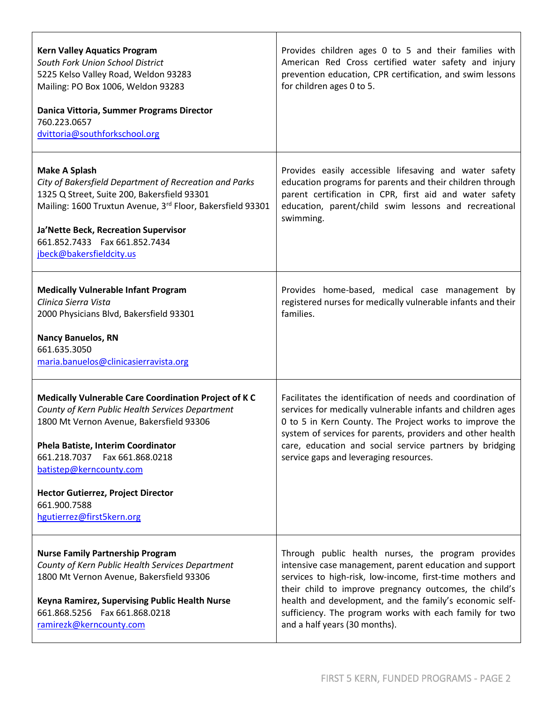| <b>Kern Valley Aquatics Program</b><br>South Fork Union School District<br>5225 Kelso Valley Road, Weldon 93283<br>Mailing: PO Box 1006, Weldon 93283<br>Danica Vittoria, Summer Programs Director<br>760.223.0657<br>dvittoria@southforkschool.org                                                                                                  | Provides children ages 0 to 5 and their families with<br>American Red Cross certified water safety and injury<br>prevention education, CPR certification, and swim lessons<br>for children ages 0 to 5.                                                                                                                                                                                     |
|------------------------------------------------------------------------------------------------------------------------------------------------------------------------------------------------------------------------------------------------------------------------------------------------------------------------------------------------------|---------------------------------------------------------------------------------------------------------------------------------------------------------------------------------------------------------------------------------------------------------------------------------------------------------------------------------------------------------------------------------------------|
| <b>Make A Splash</b><br>City of Bakersfield Department of Recreation and Parks<br>1325 Q Street, Suite 200, Bakersfield 93301<br>Mailing: 1600 Truxtun Avenue, 3rd Floor, Bakersfield 93301<br>Ja'Nette Beck, Recreation Supervisor<br>661.852.7433  Fax 661.852.7434<br>jbeck@bakersfieldcity.us                                                    | Provides easily accessible lifesaving and water safety<br>education programs for parents and their children through<br>parent certification in CPR, first aid and water safety<br>education, parent/child swim lessons and recreational<br>swimming.                                                                                                                                        |
| <b>Medically Vulnerable Infant Program</b><br>Clinica Sierra Vista<br>2000 Physicians Blvd, Bakersfield 93301<br><b>Nancy Banuelos, RN</b><br>661.635.3050<br>maria.banuelos@clinicasierravista.org                                                                                                                                                  | Provides home-based, medical case management by<br>registered nurses for medically vulnerable infants and their<br>families.                                                                                                                                                                                                                                                                |
| Medically Vulnerable Care Coordination Project of K C<br>County of Kern Public Health Services Department<br>1800 Mt Vernon Avenue, Bakersfield 93306<br>Phela Batiste, Interim Coordinator<br>661.218.7037    Fax 661.868.0218<br>batistep@kerncounty.com<br><b>Hector Gutierrez, Project Director</b><br>661.900.7588<br>hgutierrez@first5kern.org | Facilitates the identification of needs and coordination of<br>services for medically vulnerable infants and children ages<br>0 to 5 in Kern County. The Project works to improve the<br>system of services for parents, providers and other health<br>care, education and social service partners by bridging<br>service gaps and leveraging resources.                                    |
| <b>Nurse Family Partnership Program</b><br>County of Kern Public Health Services Department<br>1800 Mt Vernon Avenue, Bakersfield 93306<br>Keyna Ramirez, Supervising Public Health Nurse<br>661.868.5256  Fax 661.868.0218<br>ramirezk@kerncounty.com                                                                                               | Through public health nurses, the program provides<br>intensive case management, parent education and support<br>services to high-risk, low-income, first-time mothers and<br>their child to improve pregnancy outcomes, the child's<br>health and development, and the family's economic self-<br>sufficiency. The program works with each family for two<br>and a half years (30 months). |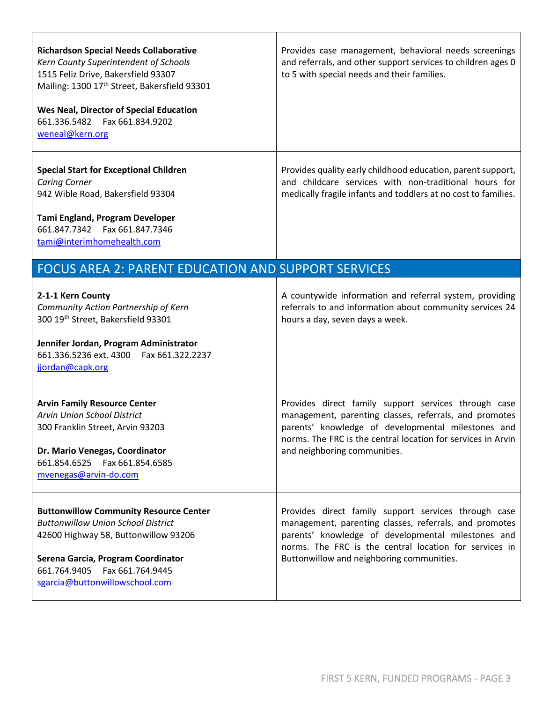| <b>Richardson Special Needs Collaborative</b><br>Kern County Superintendent of Schools<br>1515 Feliz Drive, Bakersfield 93307<br>Mailing: 1300 17 <sup>th</sup> Street, Bakersfield 93301<br>Wes Neal, Director of Special Education<br>661.336.5482    Fax 661.834.9202<br>weneal@kern.org | Provides case management, behavioral needs screenings<br>and referrals, and other support services to children ages 0<br>to 5 with special needs and their families.                                                                                                        |
|---------------------------------------------------------------------------------------------------------------------------------------------------------------------------------------------------------------------------------------------------------------------------------------------|-----------------------------------------------------------------------------------------------------------------------------------------------------------------------------------------------------------------------------------------------------------------------------|
| <b>Special Start for Exceptional Children</b><br><b>Caring Corner</b><br>942 Wible Road, Bakersfield 93304<br>Tami England, Program Developer<br>661.847.7342<br>Fax 661.847.7346<br>tami@interimhomehealth.com                                                                             | Provides quality early childhood education, parent support,<br>and childcare services with non-traditional hours for<br>medically fragile infants and toddlers at no cost to families.                                                                                      |
| <b>FOCUS AREA 2: PARENT EDUCATION AND SUPPORT SERVICES</b>                                                                                                                                                                                                                                  |                                                                                                                                                                                                                                                                             |
| 2-1-1 Kern County<br>Community Action Partnership of Kern<br>300 19th Street, Bakersfield 93301<br>Jennifer Jordan, Program Administrator<br>661.336.5236 ext. 4300<br>Fax 661.322.2237<br>jjordan@capk.org                                                                                 | A countywide information and referral system, providing<br>referrals to and information about community services 24<br>hours a day, seven days a week.                                                                                                                      |
| <b>Arvin Family Resource Center</b><br><b>Arvin Union School District</b><br>300 Franklin Street, Arvin 93203<br>Dr. Mario Venegas, Coordinator<br>661.854.6525    Fax 661.854.6585<br>mvenegas@arvin-do.com                                                                                | Provides direct family support services through case<br>management, parenting classes, referrals, and promotes<br>parents' knowledge of developmental milestones and<br>norms. The FRC is the central location for services in Arvin<br>and neighboring communities.        |
| <b>Buttonwillow Community Resource Center</b><br><b>Buttonwillow Union School District</b><br>42600 Highway 58, Buttonwillow 93206<br>Serena Garcia, Program Coordinator<br>661.764.9405<br>Fax 661.764.9445<br>sgarcia@buttonwillowschool.com                                              | Provides direct family support services through case<br>management, parenting classes, referrals, and promotes<br>parents' knowledge of developmental milestones and<br>norms. The FRC is the central location for services in<br>Buttonwillow and neighboring communities. |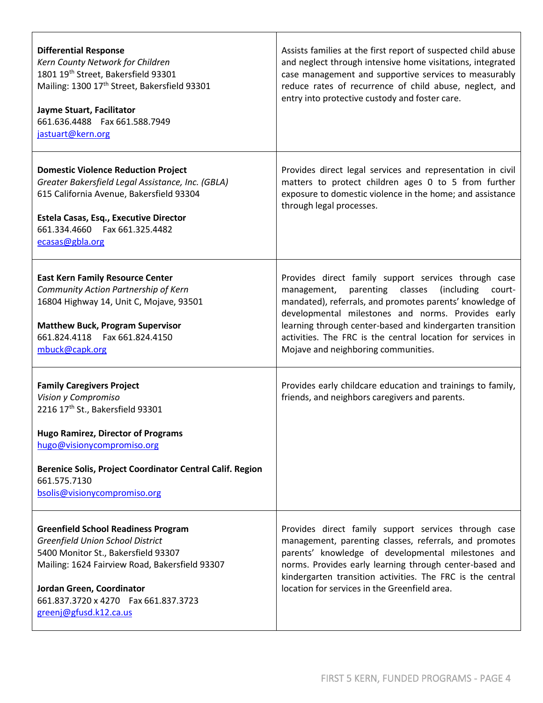| <b>Differential Response</b><br>Kern County Network for Children<br>1801 19th Street, Bakersfield 93301<br>Mailing: 1300 17 <sup>th</sup> Street, Bakersfield 93301<br>Jayme Stuart, Facilitator<br>661.636.4488  Fax 661.588.7949<br>jastuart@kern.org                             | Assists families at the first report of suspected child abuse<br>and neglect through intensive home visitations, integrated<br>case management and supportive services to measurably<br>reduce rates of recurrence of child abuse, neglect, and<br>entry into protective custody and foster care.                                                                                                     |
|-------------------------------------------------------------------------------------------------------------------------------------------------------------------------------------------------------------------------------------------------------------------------------------|-------------------------------------------------------------------------------------------------------------------------------------------------------------------------------------------------------------------------------------------------------------------------------------------------------------------------------------------------------------------------------------------------------|
| <b>Domestic Violence Reduction Project</b><br>Greater Bakersfield Legal Assistance, Inc. (GBLA)<br>615 California Avenue, Bakersfield 93304<br>Estela Casas, Esq., Executive Director<br>661.334.4660  Fax 661.325.4482<br>ecasas@gbla.org                                          | Provides direct legal services and representation in civil<br>matters to protect children ages 0 to 5 from further<br>exposure to domestic violence in the home; and assistance<br>through legal processes.                                                                                                                                                                                           |
| <b>East Kern Family Resource Center</b><br>Community Action Partnership of Kern<br>16804 Highway 14, Unit C, Mojave, 93501<br><b>Matthew Buck, Program Supervisor</b><br>661.824.4118  Fax 661.824.4150<br>mbuck@capk.org                                                           | Provides direct family support services through case<br>parenting classes<br>(including<br>management,<br>court-<br>mandated), referrals, and promotes parents' knowledge of<br>developmental milestones and norms. Provides early<br>learning through center-based and kindergarten transition<br>activities. The FRC is the central location for services in<br>Mojave and neighboring communities. |
| <b>Family Caregivers Project</b><br>Vision y Compromiso<br>2216 17th St., Bakersfield 93301<br><b>Hugo Ramirez, Director of Programs</b><br>hugo@visionycompromiso.org<br>Berenice Solis, Project Coordinator Central Calif. Region<br>661.575.7130<br>bsolis@visionycompromiso.org | Provides early childcare education and trainings to family,<br>friends, and neighbors caregivers and parents.                                                                                                                                                                                                                                                                                         |
| <b>Greenfield School Readiness Program</b><br>Greenfield Union School District<br>5400 Monitor St., Bakersfield 93307<br>Mailing: 1624 Fairview Road, Bakersfield 93307<br>Jordan Green, Coordinator<br>661.837.3720 x 4270  Fax 661.837.3723<br>greenj@gfusd.k12.ca.us             | Provides direct family support services through case<br>management, parenting classes, referrals, and promotes<br>parents' knowledge of developmental milestones and<br>norms. Provides early learning through center-based and<br>kindergarten transition activities. The FRC is the central<br>location for services in the Greenfield area.                                                        |

T

 $\overline{1}$ 

٦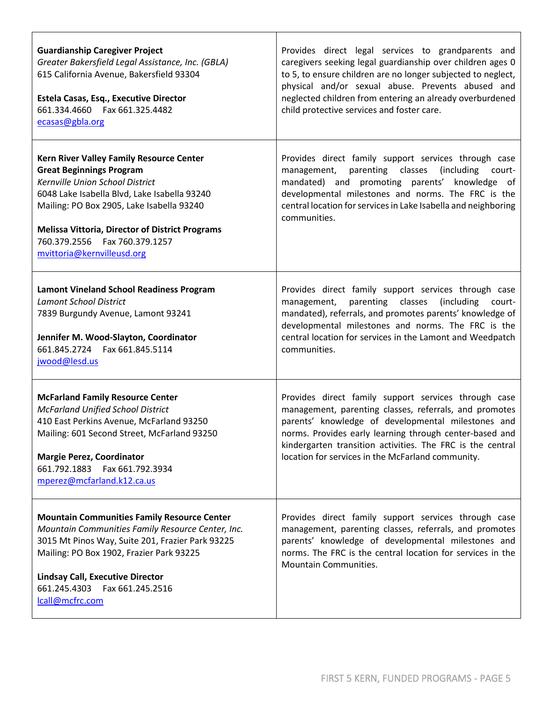| <b>Guardianship Caregiver Project</b><br>Greater Bakersfield Legal Assistance, Inc. (GBLA)<br>615 California Avenue, Bakersfield 93304<br>Estela Casas, Esq., Executive Director<br>661.334.4660  Fax 661.325.4482<br>ecasas@gbla.org                                                                                                   | Provides direct legal services to grandparents and<br>caregivers seeking legal guardianship over children ages 0<br>to 5, to ensure children are no longer subjected to neglect,<br>physical and/or sexual abuse. Prevents abused and<br>neglected children from entering an already overburdened<br>child protective services and foster care.    |
|-----------------------------------------------------------------------------------------------------------------------------------------------------------------------------------------------------------------------------------------------------------------------------------------------------------------------------------------|----------------------------------------------------------------------------------------------------------------------------------------------------------------------------------------------------------------------------------------------------------------------------------------------------------------------------------------------------|
| Kern River Valley Family Resource Center<br><b>Great Beginnings Program</b><br>Kernville Union School District<br>6048 Lake Isabella Blvd, Lake Isabella 93240<br>Mailing: PO Box 2905, Lake Isabella 93240<br><b>Melissa Vittoria, Director of District Programs</b><br>760.379.2556    Fax 760.379.1257<br>mvittoria@kernvilleusd.org | Provides direct family support services through case<br>parenting classes<br>(including)<br>management,<br>court-<br>mandated) and promoting parents' knowledge of<br>developmental milestones and norms. The FRC is the<br>central location for services in Lake Isabella and neighboring<br>communities.                                         |
| <b>Lamont Vineland School Readiness Program</b><br><b>Lamont School District</b><br>7839 Burgundy Avenue, Lamont 93241<br>Jennifer M. Wood-Slayton, Coordinator<br>661.845.2724    Fax 661.845.5114<br>jwood@lesd.us                                                                                                                    | Provides direct family support services through case<br>management, parenting classes (including court-<br>mandated), referrals, and promotes parents' knowledge of<br>developmental milestones and norms. The FRC is the<br>central location for services in the Lamont and Weedpatch<br>communities.                                             |
| <b>McFarland Family Resource Center</b><br><b>McFarland Unified School District</b><br>410 East Perkins Avenue, McFarland 93250<br>Mailing: 601 Second Street, McFarland 93250<br><b>Margie Perez, Coordinator</b><br>661.792.1883    Fax 661.792.3934<br>mperez@mcfarland.k12.ca.us                                                    | Provides direct family support services through case<br>management, parenting classes, referrals, and promotes<br>parents' knowledge of developmental milestones and<br>norms. Provides early learning through center-based and<br>kindergarten transition activities. The FRC is the central<br>location for services in the McFarland community. |
| <b>Mountain Communities Family Resource Center</b><br>Mountain Communities Family Resource Center, Inc.<br>3015 Mt Pinos Way, Suite 201, Frazier Park 93225<br>Mailing: PO Box 1902, Frazier Park 93225<br><b>Lindsay Call, Executive Director</b><br>661.245.4303    Fax 661.245.2516<br>lcall@mcfrc.com                               | Provides direct family support services through case<br>management, parenting classes, referrals, and promotes<br>parents' knowledge of developmental milestones and<br>norms. The FRC is the central location for services in the<br>Mountain Communities.                                                                                        |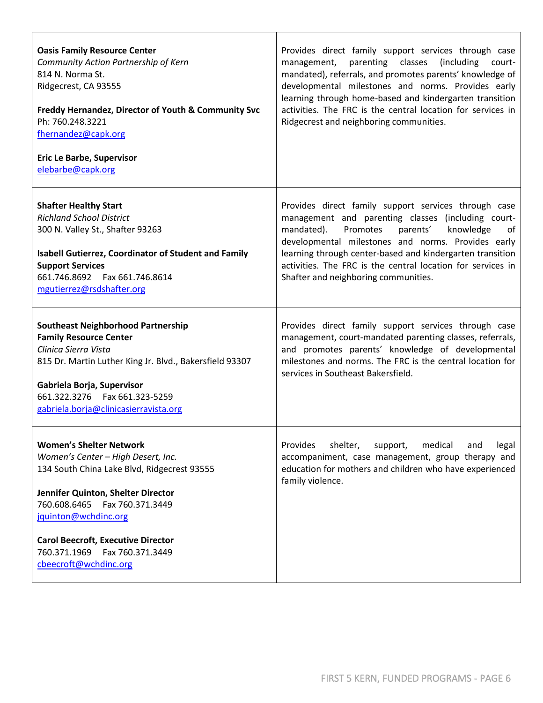| <b>Oasis Family Resource Center</b>                                                                                                                                                                                                                                      | Provides direct family support services through case                                                                                                                                                                                                                                                                                                                                          |
|--------------------------------------------------------------------------------------------------------------------------------------------------------------------------------------------------------------------------------------------------------------------------|-----------------------------------------------------------------------------------------------------------------------------------------------------------------------------------------------------------------------------------------------------------------------------------------------------------------------------------------------------------------------------------------------|
| Community Action Partnership of Kern                                                                                                                                                                                                                                     | parenting classes (including                                                                                                                                                                                                                                                                                                                                                                  |
| 814 N. Norma St.                                                                                                                                                                                                                                                         | management,                                                                                                                                                                                                                                                                                                                                                                                   |
| Ridgecrest, CA 93555                                                                                                                                                                                                                                                     | court-                                                                                                                                                                                                                                                                                                                                                                                        |
| Freddy Hernandez, Director of Youth & Community Svc                                                                                                                                                                                                                      | mandated), referrals, and promotes parents' knowledge of                                                                                                                                                                                                                                                                                                                                      |
| Ph: 760.248.3221                                                                                                                                                                                                                                                         | developmental milestones and norms. Provides early                                                                                                                                                                                                                                                                                                                                            |
| fhernandez@capk.org                                                                                                                                                                                                                                                      | learning through home-based and kindergarten transition                                                                                                                                                                                                                                                                                                                                       |
| <b>Eric Le Barbe, Supervisor</b>                                                                                                                                                                                                                                         | activities. The FRC is the central location for services in                                                                                                                                                                                                                                                                                                                                   |
| elebarbe@capk.org                                                                                                                                                                                                                                                        | Ridgecrest and neighboring communities.                                                                                                                                                                                                                                                                                                                                                       |
| <b>Shafter Healthy Start</b><br><b>Richland School District</b><br>300 N. Valley St., Shafter 93263<br><b>Isabell Gutierrez, Coordinator of Student and Family</b><br><b>Support Services</b><br>661.746.8692    Fax 661.746.8614<br>mgutierrez@rsdshafter.org           | Provides direct family support services through case<br>management and parenting classes (including court-<br>mandated).<br>Promotes<br>parents'<br>knowledge<br>of<br>developmental milestones and norms. Provides early<br>learning through center-based and kindergarten transition<br>activities. The FRC is the central location for services in<br>Shafter and neighboring communities. |
| <b>Southeast Neighborhood Partnership</b><br><b>Family Resource Center</b><br>Clinica Sierra Vista<br>815 Dr. Martin Luther King Jr. Blvd., Bakersfield 93307<br>Gabriela Borja, Supervisor<br>661.322.3276    Fax 661.323-5259<br>gabriela.borja@clinicasierravista.org | Provides direct family support services through case<br>management, court-mandated parenting classes, referrals,<br>and promotes parents' knowledge of developmental<br>milestones and norms. The FRC is the central location for<br>services in Southeast Bakersfield.                                                                                                                       |
| <b>Women's Shelter Network</b>                                                                                                                                                                                                                                           | Provides                                                                                                                                                                                                                                                                                                                                                                                      |
| Women's Center - High Desert, Inc.                                                                                                                                                                                                                                       | shelter,                                                                                                                                                                                                                                                                                                                                                                                      |
| 134 South China Lake Blvd, Ridgecrest 93555                                                                                                                                                                                                                              | medical                                                                                                                                                                                                                                                                                                                                                                                       |
| Jennifer Quinton, Shelter Director                                                                                                                                                                                                                                       | support,                                                                                                                                                                                                                                                                                                                                                                                      |
| 760.608.6465  Fax 760.371.3449                                                                                                                                                                                                                                           | and                                                                                                                                                                                                                                                                                                                                                                                           |
| jquinton@wchdinc.org                                                                                                                                                                                                                                                     | legal                                                                                                                                                                                                                                                                                                                                                                                         |
| <b>Carol Beecroft, Executive Director</b>                                                                                                                                                                                                                                | accompaniment, case management, group therapy and                                                                                                                                                                                                                                                                                                                                             |
| 760.371.1969    Fax 760.371.3449                                                                                                                                                                                                                                         | education for mothers and children who have experienced                                                                                                                                                                                                                                                                                                                                       |
| cbeecroft@wchdinc.org                                                                                                                                                                                                                                                    | family violence.                                                                                                                                                                                                                                                                                                                                                                              |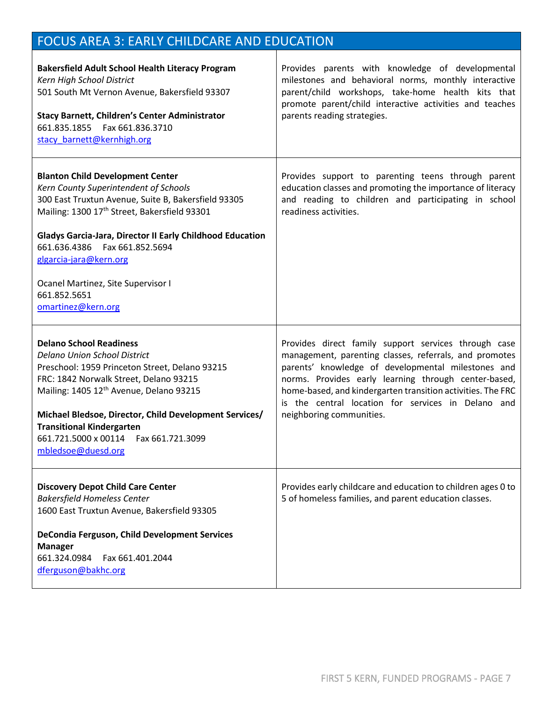## FOCUS AREA 3: EARLY CHILDCARE AND EDUCATION

| <b>Bakersfield Adult School Health Literacy Program</b><br>Kern High School District<br>501 South Mt Vernon Avenue, Bakersfield 93307<br><b>Stacy Barnett, Children's Center Administrator</b><br>661.835.1855    Fax 661.836.3710<br>stacy barnett@kernhigh.org                                                                                                                                      | Provides parents with knowledge of developmental<br>milestones and behavioral norms, monthly interactive<br>parent/child workshops, take-home health kits that<br>promote parent/child interactive activities and teaches<br>parents reading strategies.                                                                                                                      |
|-------------------------------------------------------------------------------------------------------------------------------------------------------------------------------------------------------------------------------------------------------------------------------------------------------------------------------------------------------------------------------------------------------|-------------------------------------------------------------------------------------------------------------------------------------------------------------------------------------------------------------------------------------------------------------------------------------------------------------------------------------------------------------------------------|
| <b>Blanton Child Development Center</b><br>Kern County Superintendent of Schools<br>300 East Truxtun Avenue, Suite B, Bakersfield 93305<br>Mailing: 1300 17th Street, Bakersfield 93301<br><b>Gladys Garcia-Jara, Director II Early Childhood Education</b><br>661.636.4386    Fax 661.852.5694<br>glgarcia-jara@kern.org<br>Ocanel Martinez, Site Supervisor I<br>661.852.5651<br>omartinez@kern.org | Provides support to parenting teens through parent<br>education classes and promoting the importance of literacy<br>and reading to children and participating in school<br>readiness activities.                                                                                                                                                                              |
| <b>Delano School Readiness</b><br><b>Delano Union School District</b><br>Preschool: 1959 Princeton Street, Delano 93215<br>FRC: 1842 Norwalk Street, Delano 93215<br>Mailing: 1405 12 <sup>th</sup> Avenue, Delano 93215<br>Michael Bledsoe, Director, Child Development Services/<br><b>Transitional Kindergarten</b><br>661.721.5000 x 00114<br>Fax 661.721.3099<br>mbledsoe@duesd.org              | Provides direct family support services through case<br>management, parenting classes, referrals, and promotes<br>parents' knowledge of developmental milestones and<br>norms. Provides early learning through center-based,<br>home-based, and kindergarten transition activities. The FRC<br>is the central location for services in Delano and<br>neighboring communities. |
| <b>Discovery Depot Child Care Center</b><br><b>Bakersfield Homeless Center</b><br>1600 East Truxtun Avenue, Bakersfield 93305<br>DeCondia Ferguson, Child Development Services<br><b>Manager</b><br>661.324.0984<br>Fax 661.401.2044<br>dferguson@bakhc.org                                                                                                                                           | Provides early childcare and education to children ages 0 to<br>5 of homeless families, and parent education classes.                                                                                                                                                                                                                                                         |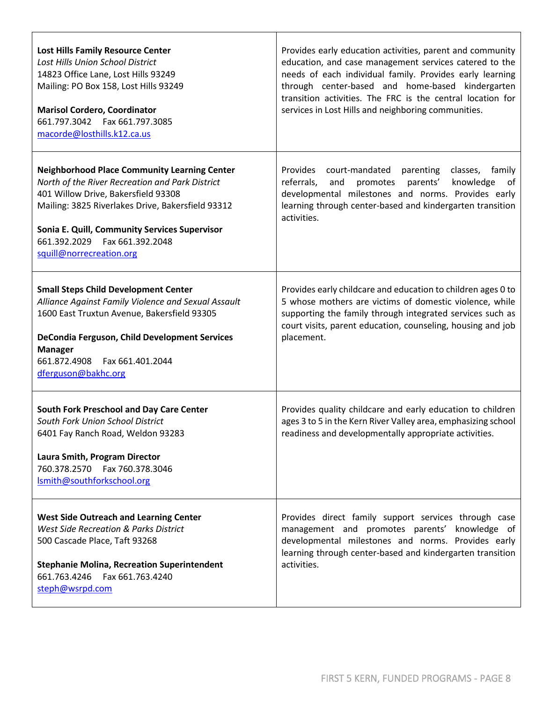| <b>Lost Hills Family Resource Center</b><br>Lost Hills Union School District<br>14823 Office Lane, Lost Hills 93249<br>Mailing: PO Box 158, Lost Hills 93249<br><b>Marisol Cordero, Coordinator</b><br>661.797.3042    Fax 661.797.3085<br>macorde@losthills.k12.ca.us                                              | Provides early education activities, parent and community<br>education, and case management services catered to the<br>needs of each individual family. Provides early learning<br>through center-based and home-based kindergarten<br>transition activities. The FRC is the central location for<br>services in Lost Hills and neighboring communities. |
|---------------------------------------------------------------------------------------------------------------------------------------------------------------------------------------------------------------------------------------------------------------------------------------------------------------------|----------------------------------------------------------------------------------------------------------------------------------------------------------------------------------------------------------------------------------------------------------------------------------------------------------------------------------------------------------|
| <b>Neighborhood Place Community Learning Center</b><br>North of the River Recreation and Park District<br>401 Willow Drive, Bakersfield 93308<br>Mailing: 3825 Riverlakes Drive, Bakersfield 93312<br>Sonia E. Quill, Community Services Supervisor<br>661.392.2029    Fax 661.392.2048<br>squill@norrecreation.org | Provides court-mandated parenting<br>classes, family<br>knowledge<br>referrals,<br>and<br>promotes<br>parents'<br>of<br>developmental milestones and norms. Provides early<br>learning through center-based and kindergarten transition<br>activities.                                                                                                   |
| <b>Small Steps Child Development Center</b><br>Alliance Against Family Violence and Sexual Assault<br>1600 East Truxtun Avenue, Bakersfield 93305<br>DeCondia Ferguson, Child Development Services<br><b>Manager</b><br>661.872.4908    Fax 661.401.2044<br>dferguson@bakhc.org                                     | Provides early childcare and education to children ages 0 to<br>5 whose mothers are victims of domestic violence, while<br>supporting the family through integrated services such as<br>court visits, parent education, counseling, housing and job<br>placement.                                                                                        |
| South Fork Preschool and Day Care Center<br>South Fork Union School District<br>6401 Fay Ranch Road, Weldon 93283<br>Laura Smith, Program Director<br>760.378.2570    Fax 760.378.3046<br>Ismith@southforkschool.org                                                                                                | Provides quality childcare and early education to children<br>ages 3 to 5 in the Kern River Valley area, emphasizing school<br>readiness and developmentally appropriate activities.                                                                                                                                                                     |
| <b>West Side Outreach and Learning Center</b><br><b>West Side Recreation &amp; Parks District</b><br>500 Cascade Place, Taft 93268<br><b>Stephanie Molina, Recreation Superintendent</b><br>661.763.4246    Fax 661.763.4240<br>steph@wsrpd.com                                                                     | Provides direct family support services through case<br>management and promotes parents' knowledge of<br>developmental milestones and norms. Provides early<br>learning through center-based and kindergarten transition<br>activities.                                                                                                                  |